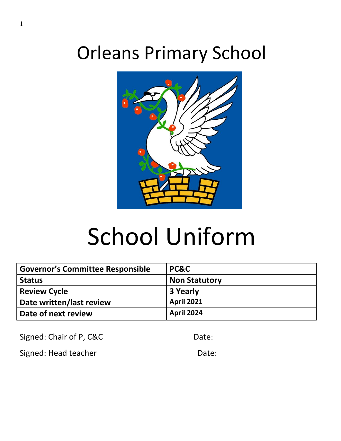# Orleans Primary School



# School Uniform

| <b>Governor's Committee Responsible</b> | PC&C                 |
|-----------------------------------------|----------------------|
| <b>Status</b>                           | <b>Non Statutory</b> |
| <b>Review Cycle</b>                     | 3 Yearly             |
| Date written/last review                | <b>April 2021</b>    |
| Date of next review                     | <b>April 2024</b>    |

Signed: Chair of P, C&C Date:

Signed: Head teacher **Date:** Date: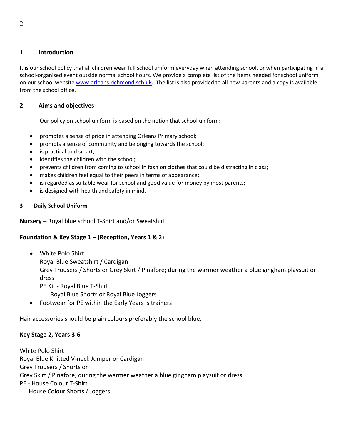#### **1 Introduction**

It is our school policy that all children wear full school uniform everyday when attending school, or when participating in a school-organised event outside normal school hours. We provide a complete list of the items needed for school uniform on our school website [www.orleans.richmond.sch.uk.](http://www.orleans.richmond.sch.uk/) The list is also provided to all new parents and a copy is available from the school office.

### **2 Aims and objectives**

Our policy on school uniform is based on the notion that school uniform:

- promotes a sense of pride in attending Orleans Primary school;
- prompts a sense of community and belonging towards the school;
- is practical and smart;
- identifies the children with the school;
- prevents children from coming to school in fashion clothes that could be distracting in class;
- makes children feel equal to their peers in terms of appearance;
- is regarded as suitable wear for school and good value for money by most parents;
- is designed with health and safety in mind.

#### **3 Daily School Uniform**

**Nursery –** Royal blue school T-Shirt and/or Sweatshirt

#### **Foundation & Key Stage 1 – (Reception, Years 1 & 2)**

- White Polo Shirt
	- Royal Blue Sweatshirt / Cardigan

Grey Trousers / Shorts or Grey Skirt / Pinafore; during the warmer weather a blue gingham playsuit or dress

PE Kit - Royal Blue T-Shirt

Royal Blue Shorts or Royal Blue Joggers

Footwear for PE within the Early Years is trainers

Hair accessories should be plain colours preferably the school blue.

#### **Key Stage 2, Years 3-6**

White Polo Shirt Royal Blue Knitted V-neck Jumper or Cardigan Grey Trousers / Shorts or Grey Skirt / Pinafore; during the warmer weather a blue gingham playsuit or dress PE - House Colour T-Shirt House Colour Shorts / Joggers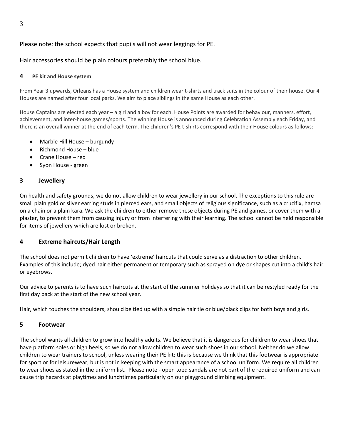# Please note: the school expects that pupils will not wear leggings for PE.

Hair accessories should be plain colours preferably the school blue.

#### **4 PE kit and House system**

From Year 3 upwards, Orleans has a House system and children wear t-shirts and track suits in the colour of their house. Our 4 Houses are named after four local parks. We aim to place siblings in the same House as each other.

House Captains are elected each year – a girl and a boy for each. House Points are awarded for behaviour, manners, effort, achievement, and inter-house games/sports. The winning House is announced during Celebration Assembly each Friday, and there is an overall winner at the end of each term. The children's PE t-shirts correspond with their House colours as follows:

- Marble Hill House burgundy
- Richmond House blue
- Crane House red
- Syon House green

#### **3 Jewellery**

On health and safety grounds, we do not allow children to wear jewellery in our school. The exceptions to this rule are small plain gold or silver earring studs in pierced ears, and small objects of religious significance, such as a crucifix, hamsa on a chain or a plain kara. We ask the children to either remove these objects during PE and games, or cover them with a plaster, to prevent them from causing injury or from interfering with their learning. The school cannot be held responsible for items of jewellery which are lost or broken.

#### **4 Extreme haircuts/Hair Length**

The school does not permit children to have 'extreme' haircuts that could serve as a distraction to other children. Examples of this include; dyed hair either permanent or temporary such as sprayed on dye or shapes cut into a child's hair or eyebrows.

Our advice to parents is to have such haircuts at the start of the summer holidays so that it can be restyled ready for the first day back at the start of the new school year.

Hair, which touches the shoulders, should be tied up with a simple hair tie or blue/black clips for both boys and girls.

#### **5 Footwear**

The school wants all children to grow into healthy adults. We believe that it is dangerous for children to wear shoes that have platform soles or high heels, so we do not allow children to wear such shoes in our school. Neither do we allow children to wear trainers to school, unless wearing their PE kit; this is because we think that this footwear is appropriate for sport or for leisurewear, but is not in keeping with the smart appearance of a school uniform. We require all children to wear shoes as stated in the uniform list. Please note - open toed sandals are not part of the required uniform and can cause trip hazards at playtimes and lunchtimes particularly on our playground climbing equipment.